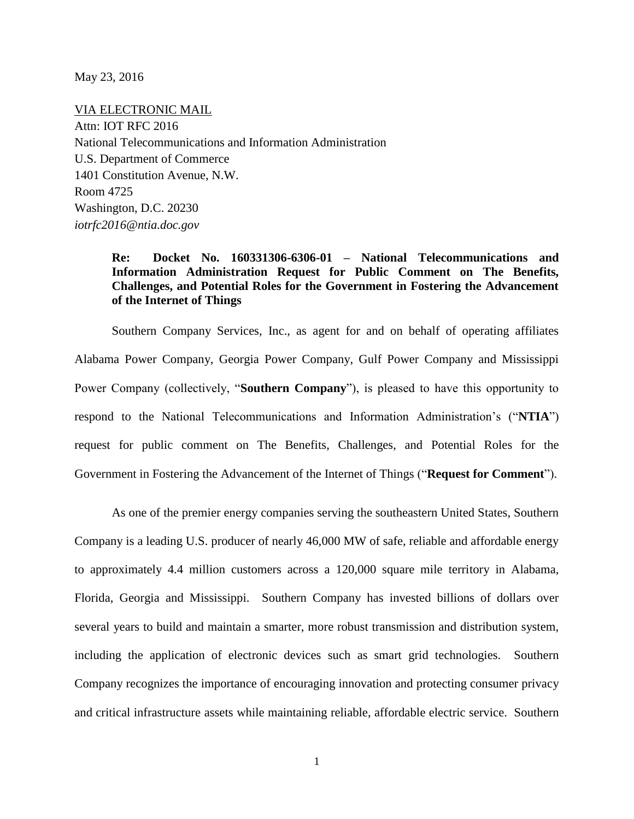May 23, 2016

VIA ELECTRONIC MAIL Attn: IOT RFC 2016 National Telecommunications and Information Administration U.S. Department of Commerce 1401 Constitution Avenue, N.W. Room 4725 Washington, D.C. 20230 *iotrfc2016@ntia.doc.gov*

## **Re: Docket No. 160331306-6306-01 – National Telecommunications and Information Administration Request for Public Comment on The Benefits, Challenges, and Potential Roles for the Government in Fostering the Advancement of the Internet of Things**

Southern Company Services, Inc., as agent for and on behalf of operating affiliates Alabama Power Company, Georgia Power Company, Gulf Power Company and Mississippi Power Company (collectively, "**Southern Company**"), is pleased to have this opportunity to respond to the National Telecommunications and Information Administration's ("**NTIA**") request for public comment on The Benefits, Challenges, and Potential Roles for the Government in Fostering the Advancement of the Internet of Things ("**Request for Comment**").

As one of the premier energy companies serving the southeastern United States, Southern Company is a leading U.S. producer of nearly 46,000 MW of safe, reliable and affordable energy to approximately 4.4 million customers across a 120,000 square mile territory in Alabama, Florida, Georgia and Mississippi. Southern Company has invested billions of dollars over several years to build and maintain a smarter, more robust transmission and distribution system, including the application of electronic devices such as smart grid technologies. Southern Company recognizes the importance of encouraging innovation and protecting consumer privacy and critical infrastructure assets while maintaining reliable, affordable electric service. Southern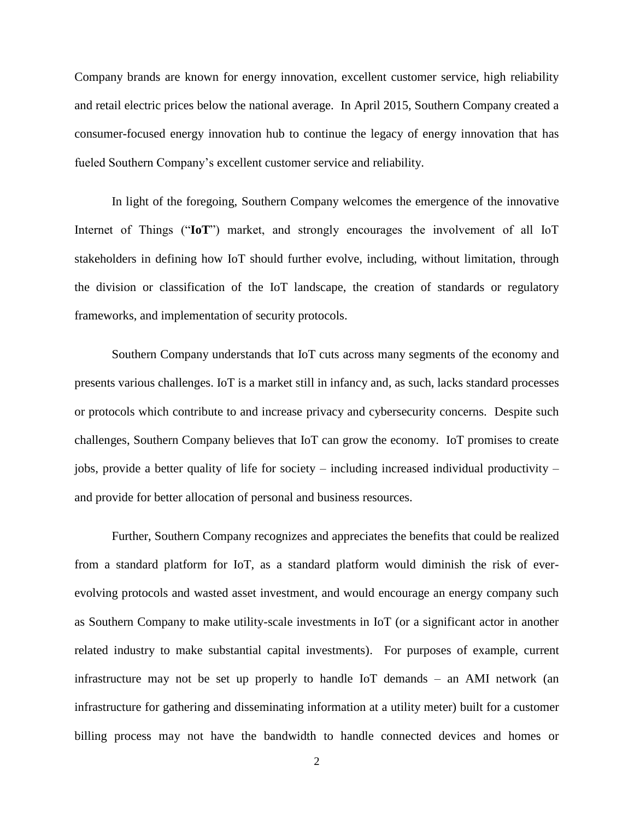Company brands are known for energy innovation, excellent customer service, high reliability and retail electric prices below the national average. In April 2015, Southern Company created a consumer-focused energy innovation hub to continue the legacy of energy innovation that has fueled Southern Company's excellent customer service and reliability.

In light of the foregoing, Southern Company welcomes the emergence of the innovative Internet of Things ("**IoT**") market, and strongly encourages the involvement of all IoT stakeholders in defining how IoT should further evolve, including, without limitation, through the division or classification of the IoT landscape, the creation of standards or regulatory frameworks, and implementation of security protocols.

Southern Company understands that IoT cuts across many segments of the economy and presents various challenges. IoT is a market still in infancy and, as such, lacks standard processes or protocols which contribute to and increase privacy and cybersecurity concerns. Despite such challenges, Southern Company believes that IoT can grow the economy. IoT promises to create jobs, provide a better quality of life for society – including increased individual productivity – and provide for better allocation of personal and business resources.

Further, Southern Company recognizes and appreciates the benefits that could be realized from a standard platform for IoT, as a standard platform would diminish the risk of everevolving protocols and wasted asset investment, and would encourage an energy company such as Southern Company to make utility-scale investments in IoT (or a significant actor in another related industry to make substantial capital investments). For purposes of example, current infrastructure may not be set up properly to handle IoT demands – an AMI network (an infrastructure for gathering and disseminating information at a utility meter) built for a customer billing process may not have the bandwidth to handle connected devices and homes or